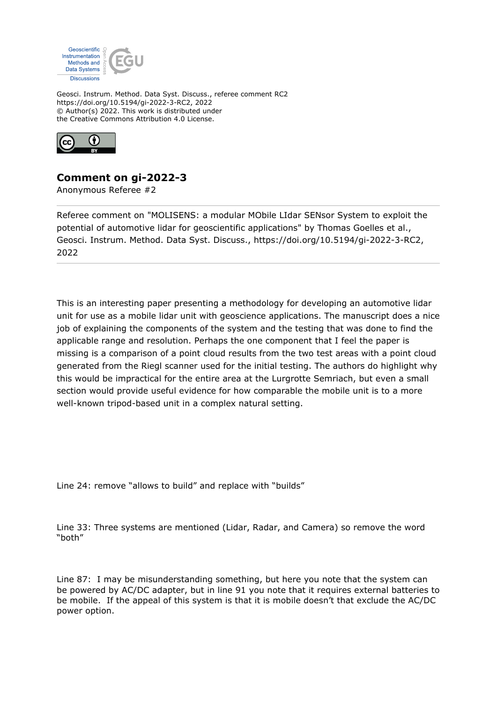

Geosci. Instrum. Method. Data Syst. Discuss., referee comment RC2 https://doi.org/10.5194/gi-2022-3-RC2, 2022 © Author(s) 2022. This work is distributed under the Creative Commons Attribution 4.0 License.



## **Comment on gi-2022-3**

Anonymous Referee #2

Referee comment on "MOLISENS: a modular MObile LIdar SENsor System to exploit the potential of automotive lidar for geoscientific applications" by Thomas Goelles et al., Geosci. Instrum. Method. Data Syst. Discuss., https://doi.org/10.5194/gi-2022-3-RC2, 2022

This is an interesting paper presenting a methodology for developing an automotive lidar unit for use as a mobile lidar unit with geoscience applications. The manuscript does a nice job of explaining the components of the system and the testing that was done to find the applicable range and resolution. Perhaps the one component that I feel the paper is missing is a comparison of a point cloud results from the two test areas with a point cloud generated from the Riegl scanner used for the initial testing. The authors do highlight why this would be impractical for the entire area at the Lurgrotte Semriach, but even a small section would provide useful evidence for how comparable the mobile unit is to a more well-known tripod-based unit in a complex natural setting.

Line 24: remove "allows to build" and replace with "builds"

Line 33: Three systems are mentioned (Lidar, Radar, and Camera) so remove the word "both"

Line 87: I may be misunderstanding something, but here you note that the system can be powered by AC/DC adapter, but in line 91 you note that it requires external batteries to be mobile. If the appeal of this system is that it is mobile doesn't that exclude the AC/DC power option.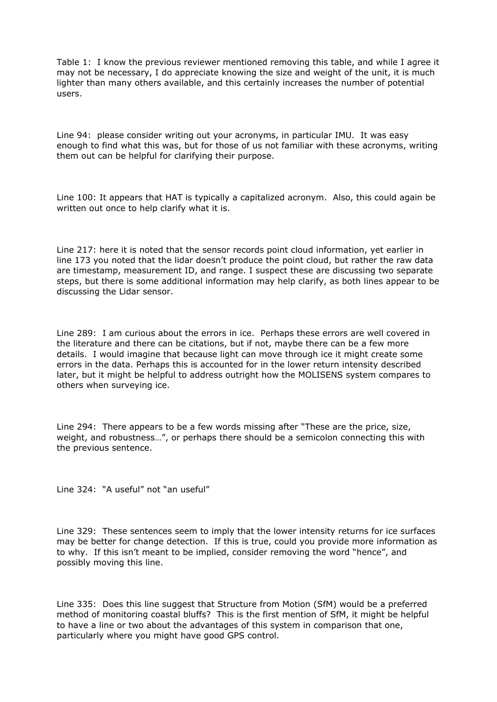Table 1: I know the previous reviewer mentioned removing this table, and while I agree it may not be necessary, I do appreciate knowing the size and weight of the unit, it is much lighter than many others available, and this certainly increases the number of potential users.

Line 94: please consider writing out your acronyms, in particular IMU. It was easy enough to find what this was, but for those of us not familiar with these acronyms, writing them out can be helpful for clarifying their purpose.

Line 100: It appears that HAT is typically a capitalized acronym. Also, this could again be written out once to help clarify what it is.

Line 217: here it is noted that the sensor records point cloud information, yet earlier in line 173 you noted that the lidar doesn't produce the point cloud, but rather the raw data are timestamp, measurement ID, and range. I suspect these are discussing two separate steps, but there is some additional information may help clarify, as both lines appear to be discussing the Lidar sensor.

Line 289: I am curious about the errors in ice. Perhaps these errors are well covered in the literature and there can be citations, but if not, maybe there can be a few more details. I would imagine that because light can move through ice it might create some errors in the data. Perhaps this is accounted for in the lower return intensity described later, but it might be helpful to address outright how the MOLISENS system compares to others when surveying ice.

Line 294: There appears to be a few words missing after "These are the price, size, weight, and robustness…", or perhaps there should be a semicolon connecting this with the previous sentence.

Line 324: "A useful" not "an useful"

Line 329: These sentences seem to imply that the lower intensity returns for ice surfaces may be better for change detection. If this is true, could you provide more information as to why. If this isn't meant to be implied, consider removing the word "hence", and possibly moving this line.

Line 335: Does this line suggest that Structure from Motion (SfM) would be a preferred method of monitoring coastal bluffs? This is the first mention of SfM, it might be helpful to have a line or two about the advantages of this system in comparison that one, particularly where you might have good GPS control.